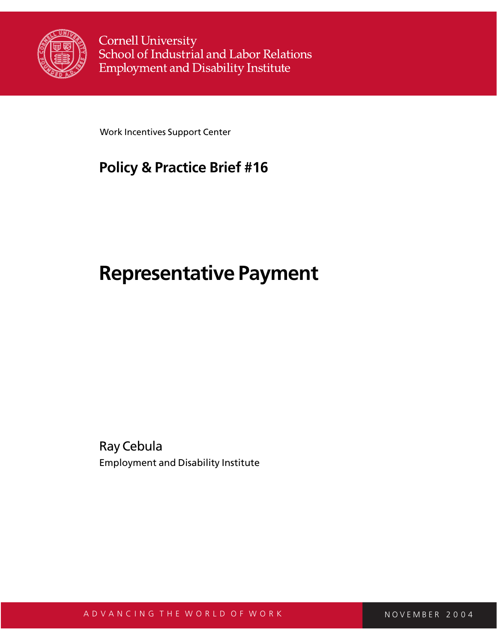

**Cornell University** School of Industrial and Labor Relations **Employment and Disability Institute** 

Work Incentives Support Center

## **Policy & Practice Brief #16**

# **Representative Payment**

Ray Cebula Employment and Disability Institute

A D V A N C I N G T H E W O R L D O F W O R K N O V L M O V E M B E R 2 0 0 4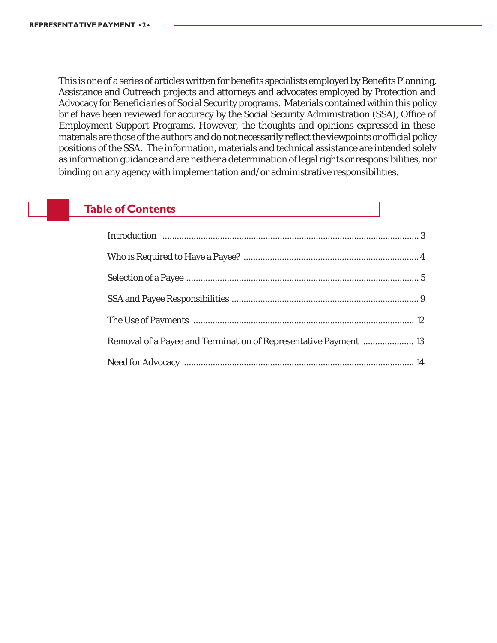This is one of a series of articles written for benefits specialists employed by Benefits Planning, Assistance and Outreach projects and attorneys and advocates employed by Protection and Advocacy for Beneficiaries of Social Security programs. Materials contained within this policy brief have been reviewed for accuracy by the Social Security Administration (SSA), Office of Employment Support Programs. However, the thoughts and opinions expressed in these materials are those of the authors and do not necessarily reflect the viewpoints or official policy positions of the SSA. The information, materials and technical assistance are intended solely as information guidance and are neither a determination of legal rights or responsibilities, nor binding on any agency with implementation and/or administrative responsibilities.

### **Table of Contents**

| Removal of a Payee and Termination of Representative Payment  13 |  |
|------------------------------------------------------------------|--|
|                                                                  |  |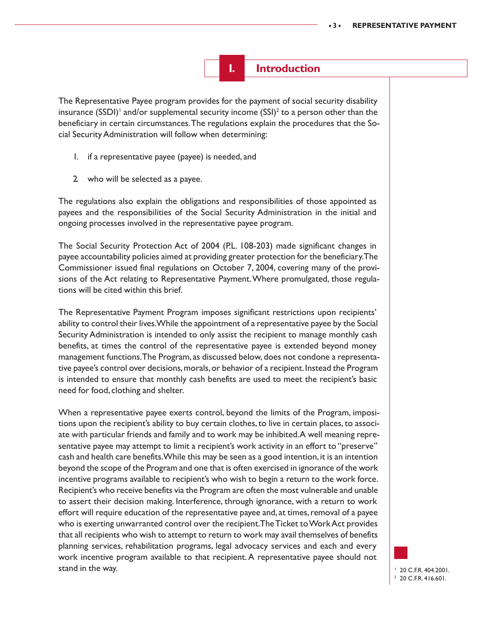

The Representative Payee program provides for the payment of social security disability insurance (SSDI) $^{\dagger}$  and/or supplemental security income (SSI) $^{\dagger}$  to a person other than the beneficiary in certain circumstances. The regulations explain the procedures that the Social Security Administration will follow when determining:

- 1. if a representative payee (payee) is needed, and
- 2. who will be selected as a payee.

The regulations also explain the obligations and responsibilities of those appointed as payees and the responsibilities of the Social Security Administration in the initial and ongoing processes involved in the representative payee program.

The Social Security Protection Act of 2004 (P.L. 108-203) made significant changes in payee accountability policies aimed at providing greater protection for the beneficiary. The Commissioner issued final regulations on October 7, 2004, covering many of the provisions of the Act relating to Representative Payment. Where promulgated, those regulations will be cited within this brief.

The Representative Payment Program imposes significant restrictions upon recipients' ability to control their lives. While the appointment of a representative payee by the Social Security Administration is intended to only assist the recipient to manage monthly cash benefits, at times the control of the representative payee is extended beyond money management functions. The Program, as discussed below, does not condone a representative payee's control over decisions, morals, or behavior of a recipient. Instead the Program is intended to ensure that monthly cash benefits are used to meet the recipient's basic need for food, clothing and shelter.

When a representative payee exerts control, beyond the limits of the Program, impositions upon the recipient's ability to buy certain clothes, to live in certain places, to associate with particular friends and family and to work may be inhibited. A well meaning representative payee may attempt to limit a recipient's work activity in an effort to "preserve" cash and health care benefits. While this may be seen as a good intention, it is an intention beyond the scope of the Program and one that is often exercised in ignorance of the work incentive programs available to recipient's who wish to begin a return to the work force. Recipient's who receive benefits via the Program are often the most vulnerable and unable to assert their decision making. Interference, through ignorance, with a return to work effort will require education of the representative payee and, at times, removal of a payee who is exerting unwarranted control over the recipient. The Ticket to Work Act provides that all recipients who wish to attempt to return to work may avail themselves of benefits planning services, rehabilitation programs, legal advocacy services and each and every work incentive program available to that recipient. A representative payee should not stand in the way.

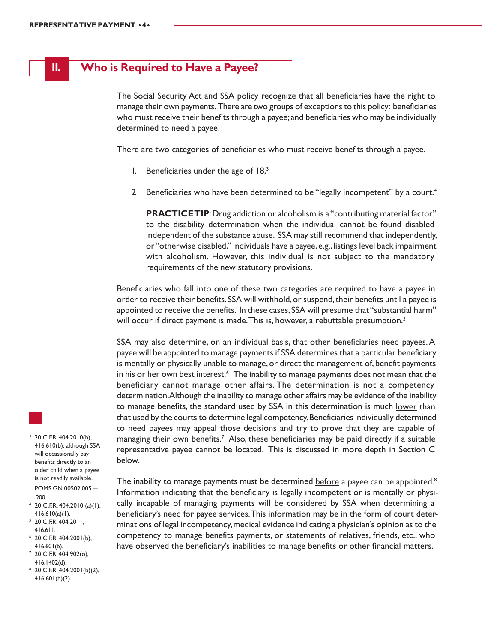### **II. Who is Required to Have a Payee?**

The Social Security Act and SSA policy recognize that all beneficiaries have the right to manage their own payments. There are two groups of exceptions to this policy: beneficiaries who must receive their benefits through a payee; and beneficiaries who may be individually determined to need a payee.

There are two categories of beneficiaries who must receive benefits through a payee.

- 1. Beneficiaries under the age of  $18<sup>3</sup>$
- 2. Beneficiaries who have been determined to be "legally incompetent" by a court.<sup>4</sup>

**PRACTICE TIP:** Drug addiction or alcoholism is a "contributing material factor" to the disability determination when the individual cannot be found disabled independent of the substance abuse. SSA may still recommend that independently, or "otherwise disabled," individuals have a payee, e.g., listings level back impairment with alcoholism. However, this individual is not subject to the mandatory requirements of the new statutory provisions.

Beneficiaries who fall into one of these two categories are required to have a payee in order to receive their benefits. SSA will withhold, or suspend, their benefits until a payee is appointed to receive the benefits. In these cases, SSA will presume that "substantial harm" will occur if direct payment is made. This is, however, a rebuttable presumption.<sup>5</sup>

SSA may also determine, on an individual basis, that other beneficiaries need payees. A payee will be appointed to manage payments if SSA determines that a particular beneficiary is mentally or physically unable to manage, or direct the management of, benefit payments in his or her own best interest.<sup>6</sup> The inability to manage payments does not mean that the beneficiary cannot manage other affairs. The determination is not a competency determination. Although the inability to manage other affairs may be evidence of the inability to manage benefits, the standard used by SSA in this determination is much lower than that used by the courts to determine legal competency. Beneficiaries individually determined to need payees may appeal those decisions and try to prove that they are capable of managing their own benefits.<sup>7</sup> Also, these beneficiaries may be paid directly if a suitable representative payee cannot be located. This is discussed in more depth in Section C below.

The inability to manage payments must be determined  $\underline{before}$  a payee can be appointed. $^8$ Information indicating that the beneficiary is legally incompetent or is mentally or physically incapable of managing payments will be considered by SSA when determining a beneficiary's need for payee services. This information may be in the form of court determinations of legal incompetency, medical evidence indicating a physician's opinion as to the competency to manage benefits payments, or statements of relatives, friends, etc., who have observed the beneficiary's inabilities to manage benefits or other financial matters.

- $3\,$  20 C.F.R. 404.2010(b),
- 416.610(b), although SSA will occassionally pay benefits directly to an older child when a payee is not readily available. POMS GN 00502.005 – .200.
- $4$  20 C.F.R. 404.2010 (a)(1), 416.610(a)(1).
- 5 20 C.F.R. 404.2011, 416.611.
- $6$  20 C.F.R. 404.2001(b), 416.601(b).
- $7$  20 C.F.R. 404.902(o), 416.1402(d).
- 8 20 C.F.R. 404.2001(b)(2), 416.601(b)(2).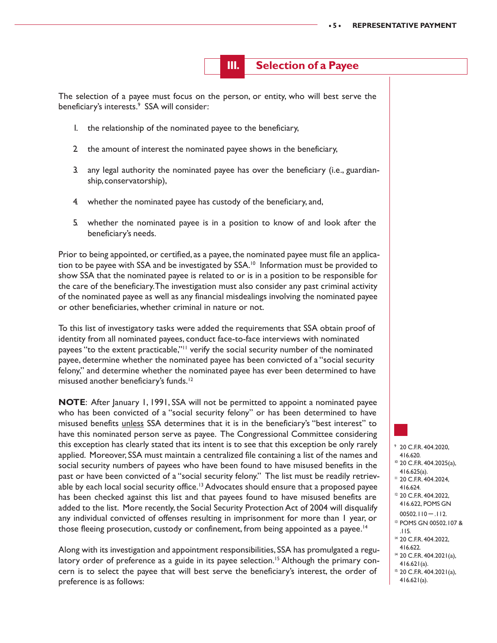**III. Selection of a Payee**

The selection of a payee must focus on the person, or entity, who will best serve the beneficiary's interests.<sup>9</sup> SSA will consider:

- 1. the relationship of the nominated payee to the beneficiary,
- 2. the amount of interest the nominated payee shows in the beneficiary,
- 3. any legal authority the nominated payee has over the beneficiary (i.e., guardianship, conservatorship),
- 4. whether the nominated payee has custody of the beneficiary, and,
- 5. whether the nominated payee is in a position to know of and look after the beneficiary's needs.

Prior to being appointed, or certified, as a payee, the nominated payee must file an application to be payee with SSA and be investigated by SSA.<sup>10</sup> Information must be provided to show SSA that the nominated payee is related to or is in a position to be responsible for the care of the beneficiary. The investigation must also consider any past criminal activity of the nominated payee as well as any financial misdealings involving the nominated payee or other beneficiaries, whether criminal in nature or not.

To this list of investigatory tasks were added the requirements that SSA obtain proof of identity from all nominated payees, conduct face-to-face interviews with nominated payees "to the extent practicable,"<sup>11</sup> verify the social security number of the nominated payee, determine whether the nominated payee has been convicted of a "social security felony," and determine whether the nominated payee has ever been determined to have misused another beneficiary's funds.<sup>12</sup>

**NOTE**: After January 1, 1991, SSA will not be permitted to appoint a nominated payee who has been convicted of a "social security felony" or has been determined to have misused benefits unless SSA determines that it is in the beneficiary's "best interest" to have this nominated person serve as payee. The Congressional Committee considering this exception has clearly stated that its intent is to see that this exception be only rarely applied. Moreover, SSA must maintain a centralized file containing a list of the names and social security numbers of payees who have been found to have misused benefits in the past or have been convicted of a "social security felony." The list must be readily retrievable by each local social security office.<sup>13</sup> Advocates should ensure that a proposed payee has been checked against this list and that payees found to have misused benefits are added to the list. More recently, the Social Security Protection Act of 2004 will disqualify any individual convicted of offenses resulting in imprisonment for more than 1 year, or those fleeing prosecution, custody or confinement, from being appointed as a payee.<sup>14</sup>

Along with its investigation and appointment responsibilities, SSA has promulgated a regulatory order of preference as a guide in its payee selection.<sup>15</sup> Although the primary concern is to select the payee that will best serve the beneficiary's interest, the order of preference is as follows:

- 9 20 C.F.R. 404.2020,
- 416.620.
- 10 20 C.F.R. 404.2025(a), 416.625(a).
- 11 20 C.F.R. 404.2024,
- 416.624.
- <sup>12</sup> 20 C.F.R. 404.2022, 416.622, POMS GN
- $00502.110 .112.$
- 13 POMS GN 00502.107 & .115.
- 14 20 C.F.R. 404.2022, 416.622.
- <sup>14</sup> 20 C.F.R. 404.2021(a),
- 416.621(a).
- 15 20 C.F.R. 404.2021(a), 416.621(a).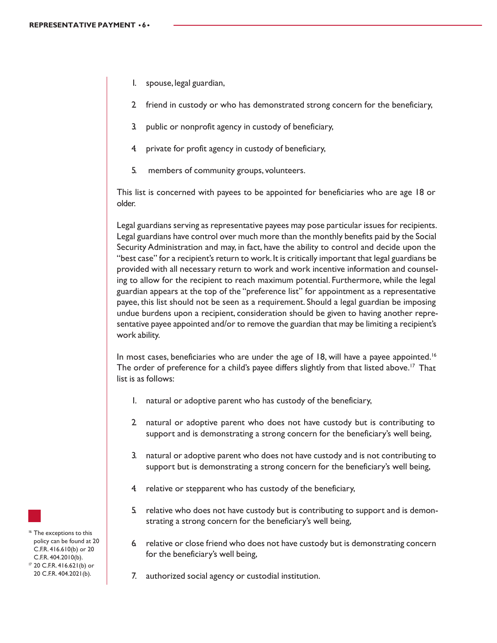- 1. spouse, legal guardian,
- 2. friend in custody or who has demonstrated strong concern for the beneficiary,
- 3. public or nonprofit agency in custody of beneficiary,
- 4. private for profit agency in custody of beneficiary,
- 5. members of community groups, volunteers.

This list is concerned with payees to be appointed for beneficiaries who are age 18 or older.

Legal guardians serving as representative payees may pose particular issues for recipients. Legal guardians have control over much more than the monthly benefits paid by the Social Security Administration and may, in fact, have the ability to control and decide upon the "best case" for a recipient's return to work. It is critically important that legal guardians be provided with all necessary return to work and work incentive information and counseling to allow for the recipient to reach maximum potential. Furthermore, while the legal guardian appears at the top of the "preference list" for appointment as a representative payee, this list should not be seen as a requirement. Should a legal guardian be imposing undue burdens upon a recipient, consideration should be given to having another representative payee appointed and/or to remove the guardian that may be limiting a recipient's work ability.

In most cases, beneficiaries who are under the age of 18, will have a payee appointed.<sup>16</sup> The order of preference for a child's payee differs slightly from that listed above.<sup>17</sup> That list is as follows:

- 1. natural or adoptive parent who has custody of the beneficiary,
- 2. natural or adoptive parent who does not have custody but is contributing to support and is demonstrating a strong concern for the beneficiary's well being,
- 3. natural or adoptive parent who does not have custody and is not contributing to support but is demonstrating a strong concern for the beneficiary's well being,
- 4. relative or stepparent who has custody of the beneficiary,
- 5. relative who does not have custody but is contributing to support and is demonstrating a strong concern for the beneficiary's well being,
- 6. relative or close friend who does not have custody but is demonstrating concern for the beneficiary's well being,
- 7. authorized social agency or custodial institution.

<sup>16</sup> The exceptions to this policy can be found at 20 C.F.R. 416.610(b) or 20 C.F.R. 404.2010(b). 17 20 C.F.R. 416.621(b) or 20 C.F.R. 404.2021(b).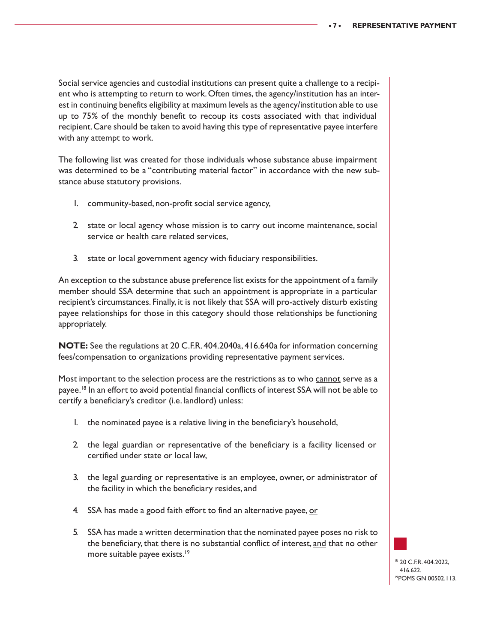Social service agencies and custodial institutions can present quite a challenge to a recipient who is attempting to return to work. Often times, the agency/institution has an interest in continuing benefits eligibility at maximum levels as the agency/institution able to use up to 75% of the monthly benefit to recoup its costs associated with that individual recipient. Care should be taken to avoid having this type of representative payee interfere with any attempt to work.

The following list was created for those individuals whose substance abuse impairment was determined to be a "contributing material factor" in accordance with the new substance abuse statutory provisions.

- 1. community-based, non-profit social service agency,
- 2. state or local agency whose mission is to carry out income maintenance, social service or health care related services,
- 3. state or local government agency with fiduciary responsibilities.

An exception to the substance abuse preference list exists for the appointment of a family member should SSA determine that such an appointment is appropriate in a particular recipient's circumstances. Finally, it is not likely that SSA will pro-actively disturb existing payee relationships for those in this category should those relationships be functioning appropriately.

**NOTE:** See the regulations at 20 C.F.R. 404.2040a, 416.640a for information concerning fees/compensation to organizations providing representative payment services.

Most important to the selection process are the restrictions as to who cannot serve as a payee.18 In an effort to avoid potential financial conflicts of interest SSA will not be able to certify a beneficiary's creditor (i.e. landlord) unless:

- 1. the nominated payee is a relative living in the beneficiary's household,
- 2. the legal guardian or representative of the beneficiary is a facility licensed or certified under state or local law,
- 3. the legal guarding or representative is an employee, owner, or administrator of the facility in which the beneficiary resides, and
- 4 SSA has made a good faith effort to find an alternative payee, or
- 5. SSA has made a written determination that the nominated payee poses no risk to the beneficiary, that there is no substantial conflict of interest, and that no other more suitable payee exists.<sup>19</sup>

<sup>18</sup> 20 C.F.R. 404.2022, 416.622. 19POMS GN 00502.113.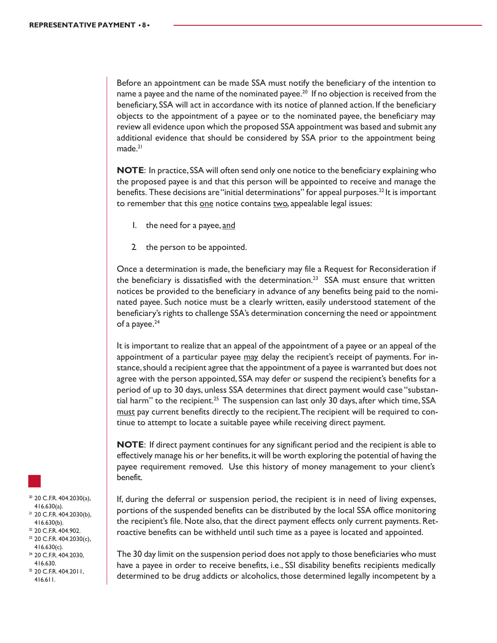Before an appointment can be made SSA must notify the beneficiary of the intention to name a payee and the name of the nominated payee.<sup>20</sup> If no objection is received from the beneficiary, SSA will act in accordance with its notice of planned action. If the beneficiary objects to the appointment of a payee or to the nominated payee, the beneficiary may review all evidence upon which the proposed SSA appointment was based and submit any additional evidence that should be considered by SSA prior to the appointment being made.<sup>21</sup>

**NOTE**: In practice, SSA will often send only one notice to the beneficiary explaining who the proposed payee is and that this person will be appointed to receive and manage the benefits. These decisions are "initial determinations" for appeal purposes.<sup>22</sup> It is important to remember that this one notice contains two, appealable legal issues:

- 1. the need for a payee, and
- 2. the person to be appointed.

Once a determination is made, the beneficiary may file a Request for Reconsideration if the beneficiary is dissatisfied with the determination.<sup>23</sup> SSA must ensure that written notices be provided to the beneficiary in advance of any benefits being paid to the nominated payee. Such notice must be a clearly written, easily understood statement of the beneficiary's rights to challenge SSA's determination concerning the need or appointment of a payee.<sup>24</sup>

It is important to realize that an appeal of the appointment of a payee or an appeal of the appointment of a particular payee may delay the recipient's receipt of payments. For instance, should a recipient agree that the appointment of a payee is warranted but does not agree with the person appointed, SSA may defer or suspend the recipient's benefits for a period of up to 30 days, unless SSA determines that direct payment would case "substantial harm" to the recipient.<sup>25</sup> The suspension can last only 30 days, after which time, SSA must pay current benefits directly to the recipient. The recipient will be required to continue to attempt to locate a suitable payee while receiving direct payment.

**NOTE**: If direct payment continues for any significant period and the recipient is able to effectively manage his or her benefits, it will be worth exploring the potential of having the payee requirement removed. Use this history of money management to your client's benefit.

If, during the deferral or suspension period, the recipient is in need of living expenses, portions of the suspended benefits can be distributed by the local SSA office monitoring the recipient's file. Note also, that the direct payment effects only current payments. Retroactive benefits can be withheld until such time as a payee is located and appointed.

The 30 day limit on the suspension period does not apply to those beneficiaries who must have a payee in order to receive benefits, i.e., SSI disability benefits recipients medically determined to be drug addicts or alcoholics, those determined legally incompetent by a



- $20$  C.F.R. 404.2030(a), 416.630(a).
- 21 20 C.F.R. 404.2030(b), 416.630(b).
- <sup>22</sup> 20 C.F.R. 404.902.
- <sup>23</sup> 20 C.F.R. 404.2030(c), 416.630(c). 24 20 C.F.R. 404.2030,
- 416.630.
- $25$  20 C.F.R. 404.2011, 416.611.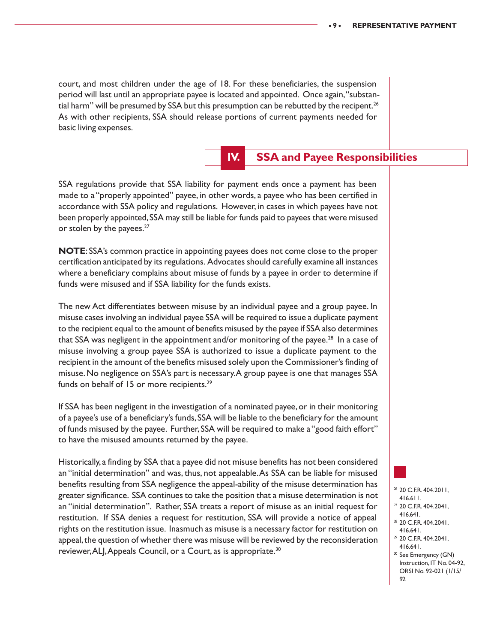court, and most children under the age of 18. For these beneficiaries, the suspension period will last until an appropriate payee is located and appointed. Once again, "substantial harm" will be presumed by SSA but this presumption can be rebutted by the recipent.<sup>26</sup> As with other recipients, SSA should release portions of current payments needed for basic living expenses.

### **IV. SSA and Payee Responsibilities**

SSA regulations provide that SSA liability for payment ends once a payment has been made to a "properly appointed" payee, in other words, a payee who has been certified in accordance with SSA policy and regulations. However, in cases in which payees have not been properly appointed, SSA may still be liable for funds paid to payees that were misused or stolen by the payees.<sup>27</sup>

**NOTE**: SSA's common practice in appointing payees does not come close to the proper certification anticipated by its regulations. Advocates should carefully examine all instances where a beneficiary complains about misuse of funds by a payee in order to determine if funds were misused and if SSA liability for the funds exists.

The new Act differentiates between misuse by an individual payee and a group payee. In misuse cases involving an individual payee SSA will be required to issue a duplicate payment to the recipient equal to the amount of benefits misused by the payee if SSA also determines that SSA was negligent in the appointment and/or monitoring of the payee.<sup>28</sup> In a case of misuse involving a group payee SSA is authorized to issue a duplicate payment to the recipient in the amount of the benefits misused solely upon the Commissioner's finding of misuse. No negligence on SSA's part is necessary. A group payee is one that manages SSA funds on behalf of 15 or more recipients.<sup>29</sup>

If SSA has been negligent in the investigation of a nominated payee, or in their monitoring of a payee's use of a beneficiary's funds, SSA will be liable to the beneficiary for the amount of funds misused by the payee. Further, SSA will be required to make a "good faith effort" to have the misused amounts returned by the payee.

Historically, a finding by SSA that a payee did not misuse benefits has not been considered an "initial determination" and was, thus, not appealable. As SSA can be liable for misused benefits resulting from SSA negligence the appeal-ability of the misuse determination has greater significance. SSA continues to take the position that a misuse determination is not an "initial determination". Rather, SSA treats a report of misuse as an initial request for restitution. If SSA denies a request for restitution, SSA will provide a notice of appeal rights on the restitution issue. Inasmuch as misuse is a necessary factor for restitution on appeal, the question of whether there was misuse will be reviewed by the reconsideration reviewer, ALJ, Appeals Council, or a Court, as is appropriate.<sup>30</sup>

- 26 20 C.F.R. 404.2011,
- 416.611.
- $27$  20 C.F.R. 404.2041, 416.641.
- 28 20 C.F.R. 404.2041,
- 416.641. <sup>29</sup> 20 C.F.R. 404.2041,
- 416.641.
- <sup>30</sup> See Emergency (GN) Instruction, IT No. 04-92, ORSI No. 92-021 (1/15/ 92.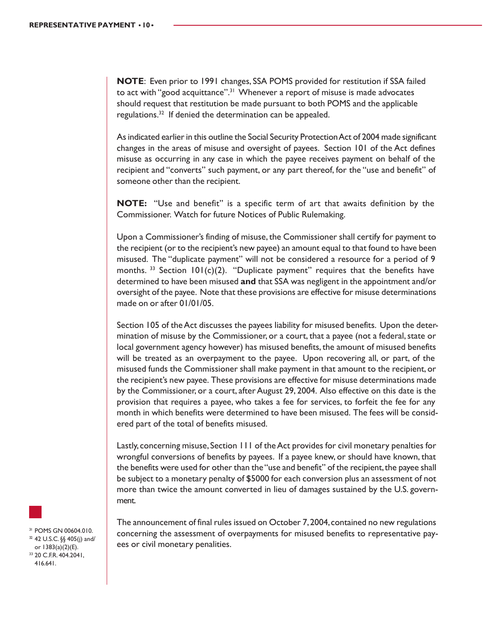**NOTE**: Even prior to 1991 changes, SSA POMS provided for restitution if SSA failed to act with "good acquittance".<sup>31</sup> Whenever a report of misuse is made advocates should request that restitution be made pursuant to both POMS and the applicable regulations.<sup>32</sup> If denied the determination can be appealed.

As indicated earlier in this outline the Social Security Protection Act of 2004 made significant changes in the areas of misuse and oversight of payees. Section 101 of the Act defines misuse as occurring in any case in which the payee receives payment on behalf of the recipient and "converts" such payment, or any part thereof, for the "use and benefit" of someone other than the recipient.

**NOTE:** "Use and benefit" is a specific term of art that awaits definition by the Commissioner. Watch for future Notices of Public Rulemaking.

Upon a Commissioner's finding of misuse, the Commissioner shall certify for payment to the recipient (or to the recipient's new payee) an amount equal to that found to have been misused. The "duplicate payment" will not be considered a resource for a period of 9 months.  $33$  Section 101(c)(2). "Duplicate payment" requires that the benefits have determined to have been misused **and** that SSA was negligent in the appointment and/or oversight of the payee. Note that these provisions are effective for misuse determinations made on or after 01/01/05.

Section 105 of the Act discusses the payees liability for misused benefits. Upon the determination of misuse by the Commissioner, or a court, that a payee (not a federal, state or local government agency however) has misused benefits, the amount of misused benefits will be treated as an overpayment to the payee. Upon recovering all, or part, of the misused funds the Commissioner shall make payment in that amount to the recipient, or the recipient's new payee. These provisions are effective for misuse determinations made by the Commissioner, or a court, after August 29, 2004. Also effective on this date is the provision that requires a payee, who takes a fee for services, to forfeit the fee for any month in which benefits were determined to have been misused. The fees will be considered part of the total of benefits misused.

Lastly, concerning misuse, Section 111 of the Act provides for civil monetary penalties for wrongful conversions of benefits by payees. If a payee knew, or should have known, that the benefits were used for other than the "use and benefit" of the recipient, the payee shall be subject to a monetary penalty of \$5000 for each conversion plus an assessment of not more than twice the amount converted in lieu of damages sustained by the U.S. government.

The announcement of final rules issued on October 7, 2004, contained no new regulations concerning the assessment of overpayments for misused benefits to representative payees or civil monetary penalities.

31 POMS GN 00604.010. 32 42 U.S.C. §§ 405(j) and/ or 1383(a)(2)(E). 33 20 C.F.R. 404.2041, 416.641.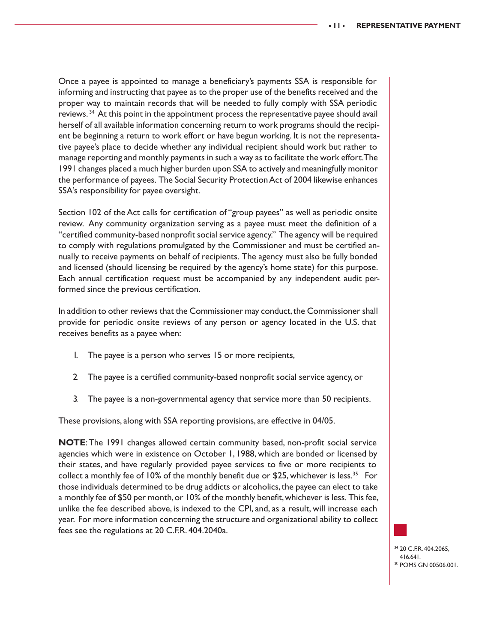Once a payee is appointed to manage a beneficiary's payments SSA is responsible for informing and instructing that payee as to the proper use of the benefits received and the proper way to maintain records that will be needed to fully comply with SSA periodic reviews. 34 At this point in the appointment process the representative payee should avail herself of all available information concerning return to work programs should the recipient be beginning a return to work effort or have begun working. It is not the representative payee's place to decide whether any individual recipient should work but rather to manage reporting and monthly payments in such a way as to facilitate the work effort. The 1991 changes placed a much higher burden upon SSA to actively and meaningfully monitor the performance of payees. The Social Security Protection Act of 2004 likewise enhances SSA's responsibility for payee oversight.

Section 102 of the Act calls for certification of "group payees" as well as periodic onsite review. Any community organization serving as a payee must meet the definition of a "certified community-based nonprofit social service agency." The agency will be required to comply with regulations promulgated by the Commissioner and must be certified annually to receive payments on behalf of recipients. The agency must also be fully bonded and licensed (should licensing be required by the agency's home state) for this purpose. Each annual certification request must be accompanied by any independent audit performed since the previous certification.

In addition to other reviews that the Commissioner may conduct, the Commissioner shall provide for periodic onsite reviews of any person or agency located in the U.S. that receives benefits as a payee when:

- 1. The payee is a person who serves 15 or more recipients,
- 2. The payee is a certified community-based nonprofit social service agency, or
- 3. The payee is a non-governmental agency that service more than 50 recipients.

These provisions, along with SSA reporting provisions, are effective in 04/05.

**NOTE**: The 1991 changes allowed certain community based, non-profit social service agencies which were in existence on October 1, 1988, which are bonded or licensed by their states, and have regularly provided payee services to five or more recipients to collect a monthly fee of 10% of the monthly benefit due or \$25, whichever is less.<sup>35</sup> For those individuals determined to be drug addicts or alcoholics, the payee can elect to take a monthly fee of \$50 per month, or 10% of the monthly benefit, whichever is less. This fee, unlike the fee described above, is indexed to the CPI, and, as a result, will increase each year. For more information concerning the structure and organizational ability to collect fees see the regulations at 20 C.F.R. 404.2040a.



34 20 C.F.R. 404.2065, 416.641. 35 POMS GN 00506.001.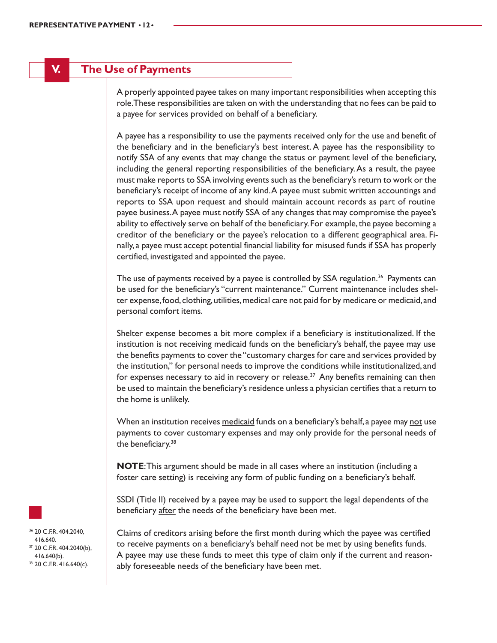### **V. The Use of Payments**

A properly appointed payee takes on many important responsibilities when accepting this role. These responsibilities are taken on with the understanding that no fees can be paid to a payee for services provided on behalf of a beneficiary.

A payee has a responsibility to use the payments received only for the use and benefit of the beneficiary and in the beneficiary's best interest. A payee has the responsibility to notify SSA of any events that may change the status or payment level of the beneficiary, including the general reporting responsibilities of the beneficiary. As a result, the payee must make reports to SSA involving events such as the beneficiary's return to work or the beneficiary's receipt of income of any kind. A payee must submit written accountings and reports to SSA upon request and should maintain account records as part of routine payee business. A payee must notify SSA of any changes that may compromise the payee's ability to effectively serve on behalf of the beneficiary. For example, the payee becoming a creditor of the beneficiary or the payee's relocation to a different geographical area. Finally, a payee must accept potential financial liability for misused funds if SSA has properly certified, investigated and appointed the payee.

The use of payments received by a payee is controlled by SSA regulation.<sup>36</sup> Payments can be used for the beneficiary's "current maintenance." Current maintenance includes shelter expense, food, clothing, utilities, medical care not paid for by medicare or medicaid, and personal comfort items.

Shelter expense becomes a bit more complex if a beneficiary is institutionalized. If the institution is not receiving medicaid funds on the beneficiary's behalf, the payee may use the benefits payments to cover the "customary charges for care and services provided by the institution," for personal needs to improve the conditions while institutionalized, and for expenses necessary to aid in recovery or release.<sup>37</sup> Any benefits remaining can then be used to maintain the beneficiary's residence unless a physician certifies that a return to the home is unlikely.

When an institution receives medicaid funds on a beneficiary's behalf, a payee may not use payments to cover customary expenses and may only provide for the personal needs of the beneficiary.<sup>38</sup>

**NOTE**: This argument should be made in all cases where an institution (including a foster care setting) is receiving any form of public funding on a beneficiary's behalf.

SSDI (Title II) received by a payee may be used to support the legal dependents of the beneficiary after the needs of the beneficiary have been met.

Claims of creditors arising before the first month during which the payee was certified to receive payments on a beneficiary's behalf need not be met by using benefits funds. A payee may use these funds to meet this type of claim only if the current and reasonably foreseeable needs of the beneficiary have been met.



36 20 C.F.R. 404.2040, 416.640. 37 20 C.F.R. 404.2040(b), 416.640(b). 38 20 C.F.R. 416.640(c).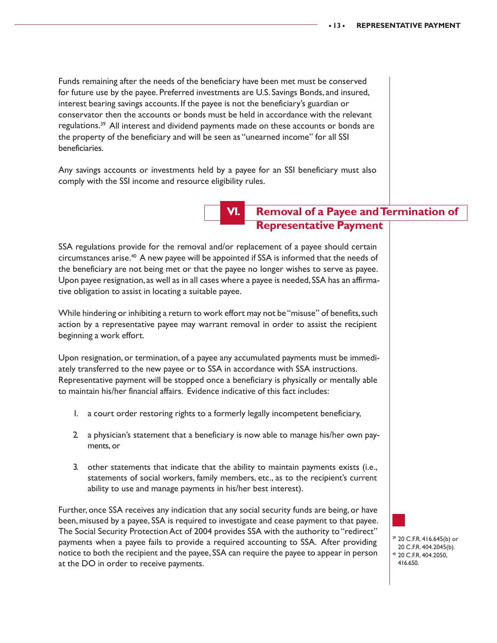Funds remaining after the needs of the beneficiary have been met must be conserved for future use by the payee. Preferred investments are U.S. Savings Bonds, and insured, interest bearing savings accounts. If the payee is not the beneficiary's guardian or conservator then the accounts or bonds must be held in accordance with the relevant regulations.39 All interest and dividend payments made on these accounts or bonds are the property of the beneficiary and will be seen as "unearned income" for all SSI beneficiaries.

Any savings accounts or investments held by a payee for an SSI beneficiary must also comply with the SSI income and resource eligibility rules.

### **VI. Removal of a Payee and Termination of Representative Payment**

SSA regulations provide for the removal and/or replacement of a payee should certain circumstances arise.<sup>40</sup> A new payee will be appointed if SSA is informed that the needs of the beneficiary are not being met or that the payee no longer wishes to serve as payee. Upon payee resignation, as well as in all cases where a payee is needed, SSA has an affirmative obligation to assist in locating a suitable payee.

While hindering or inhibiting a return to work effort may not be "misuse" of benefits, such action by a representative payee may warrant removal in order to assist the recipient beginning a work effort.

Upon resignation, or termination, of a payee any accumulated payments must be immediately transferred to the new payee or to SSA in accordance with SSA instructions. Representative payment will be stopped once a beneficiary is physically or mentally able to maintain his/her financial affairs. Evidence indicative of this fact includes:

- 1. a court order restoring rights to a formerly legally incompetent beneficiary,
- 2. a physician's statement that a beneficiary is now able to manage his/her own payments, or
- 3. other statements that indicate that the ability to maintain payments exists (i.e., statements of social workers, family members, etc., as to the recipient's current ability to use and manage payments in his/her best interest).

Further, once SSA receives any indication that any social security funds are being, or have been, misused by a payee, SSA is required to investigate and cease payment to that payee. The Social Security Protection Act of 2004 provides SSA with the authority to "redirect" payments when a payee fails to provide a required accounting to SSA. After providing notice to both the recipient and the payee, SSA can require the payee to appear in person at the DO in order to receive payments.

39 20 C.F.R. 416.645(b) or 20 C.F.R. 404.2045(b). 40 20 C.F.R. 404.2050, 416.650.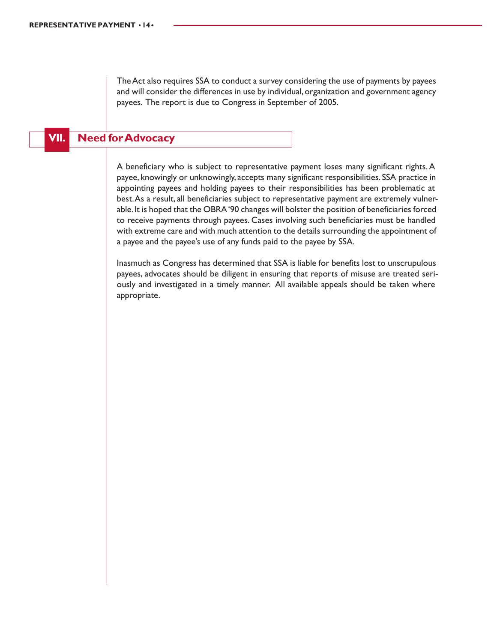The Act also requires SSA to conduct a survey considering the use of payments by payees and will consider the differences in use by individual, organization and government agency payees. The report is due to Congress in September of 2005.

### **VII. Need for Advocacy**

A beneficiary who is subject to representative payment loses many significant rights. A payee, knowingly or unknowingly, accepts many significant responsibilities. SSA practice in appointing payees and holding payees to their responsibilities has been problematic at best. As a result, all beneficiaries subject to representative payment are extremely vulnerable. It is hoped that the OBRA '90 changes will bolster the position of beneficiaries forced to receive payments through payees. Cases involving such beneficiaries must be handled with extreme care and with much attention to the details surrounding the appointment of a payee and the payee's use of any funds paid to the payee by SSA.

Inasmuch as Congress has determined that SSA is liable for benefits lost to unscrupulous payees, advocates should be diligent in ensuring that reports of misuse are treated seriously and investigated in a timely manner. All available appeals should be taken where appropriate.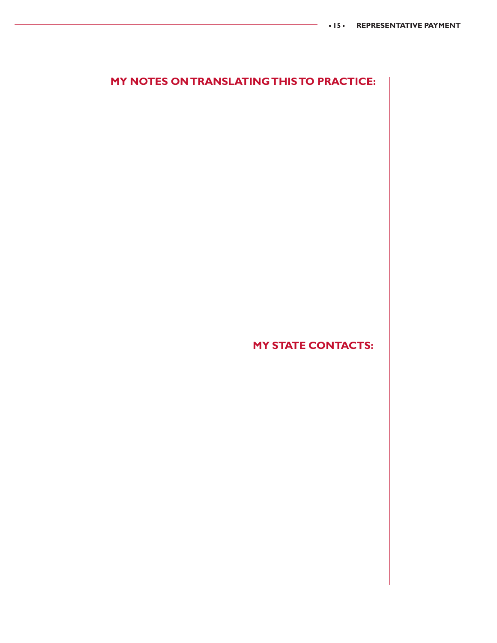### **MY NOTES ON TRANSLATING THIS TO PRACTICE:**

**MY STATE CONTACTS:**